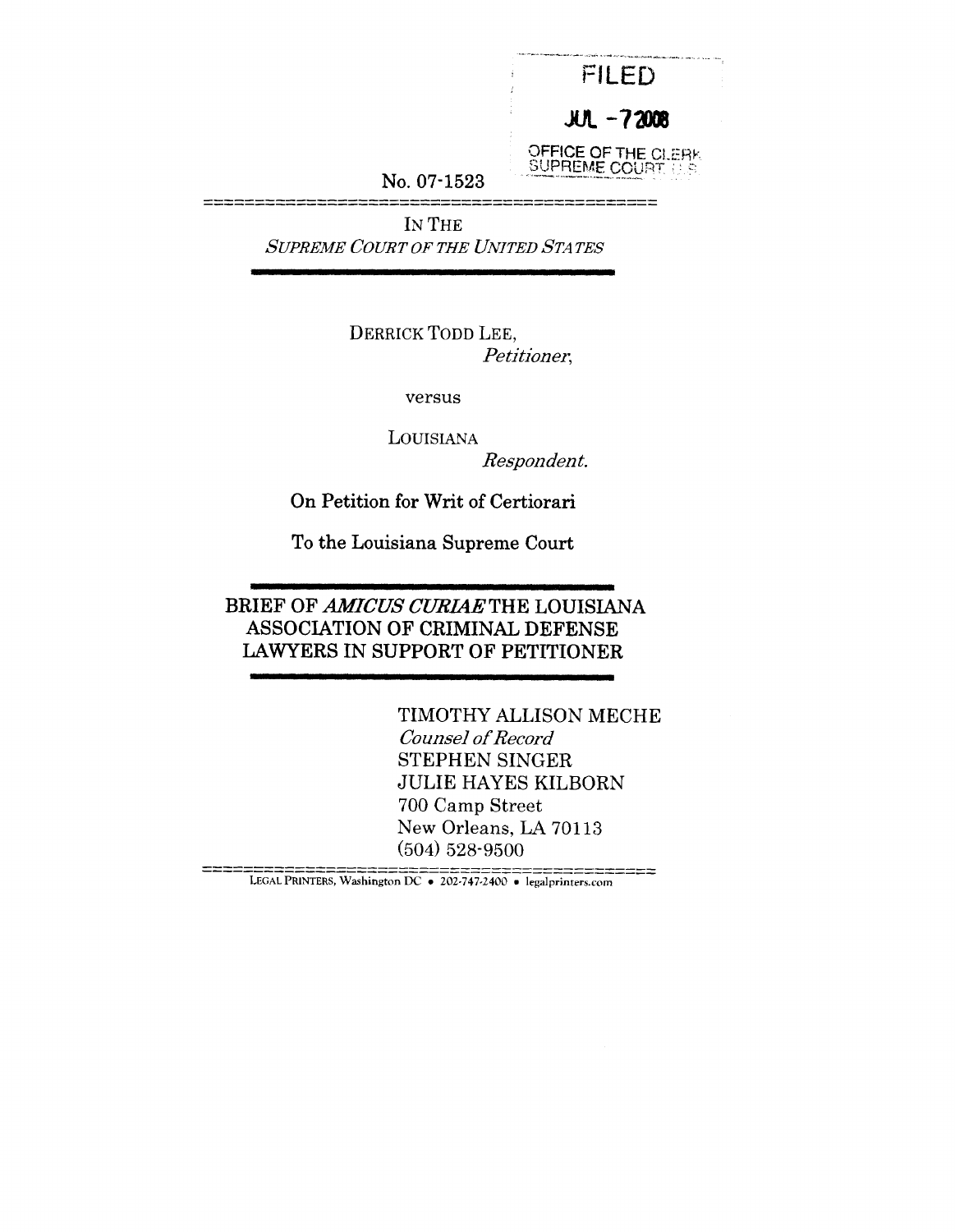|               | FII FD                                           |
|---------------|--------------------------------------------------|
|               | $JUL - 72008$                                    |
| No. $07-1523$ | OFFICE OF THE CLERK<br><b>SUPREME COURT 11.8</b> |

**IN** THE *SUPREME COURT OF THE UNITED STATES*

> **DERRICK TODD LEE,** *Petitioner,*

> > versus

LOUISIANA

*Respondent.*

On Petition for Writ of Certiorari

**To the Louisiana Supreme Court**

**BRIEF OF** *AMICUS CURIAE* **THE LOUISIANA ASSOCIATION OF CRIMINAL DEFENSE LAWYERS IN SUPPORT OF PETITIONER**

> TIMOTHY ALLISON MECHE *Counsel of Record* STEPHEN SINGER JULIE HAYES KILBORN 700 Camp Street New Orleans, LA 70113 (504) 528-9500

LEWAR INDENSION DC ● 202-747-2400 ● legalprinters.com<br>LEGAL PRINTERS, Washington DC ● 202-747-2400 ● legalprinters.com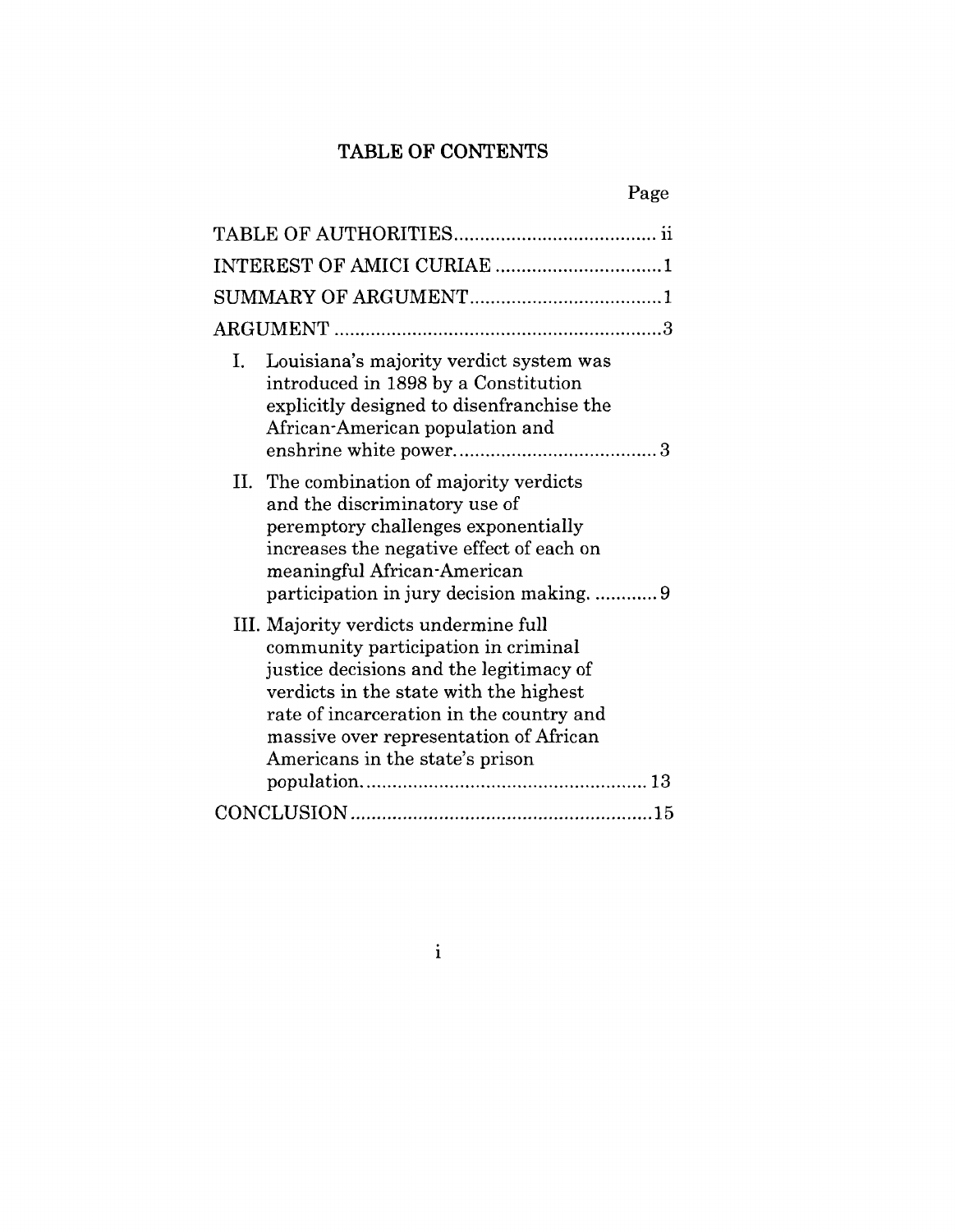# **TABLE OF CONTENTS**

## Page

|    | INTEREST OF AMICI CURIAE 1                                                                                                                                                                                                                                                                 |
|----|--------------------------------------------------------------------------------------------------------------------------------------------------------------------------------------------------------------------------------------------------------------------------------------------|
|    |                                                                                                                                                                                                                                                                                            |
|    |                                                                                                                                                                                                                                                                                            |
| L. | Louisiana's majority verdict system was<br>introduced in 1898 by a Constitution<br>explicitly designed to disenfranchise the<br>African-American population and                                                                                                                            |
|    | II. The combination of majority verdicts<br>and the discriminatory use of<br>peremptory challenges exponentially<br>increases the negative effect of each on<br>meaningful African-American<br>participation in jury decision making9                                                      |
|    | III. Majority verdicts undermine full<br>community participation in criminal<br>justice decisions and the legitimacy of<br>verdicts in the state with the highest<br>rate of incarceration in the country and<br>massive over representation of African<br>Americans in the state's prison |
|    |                                                                                                                                                                                                                                                                                            |
|    |                                                                                                                                                                                                                                                                                            |

 $\mathbf{i}$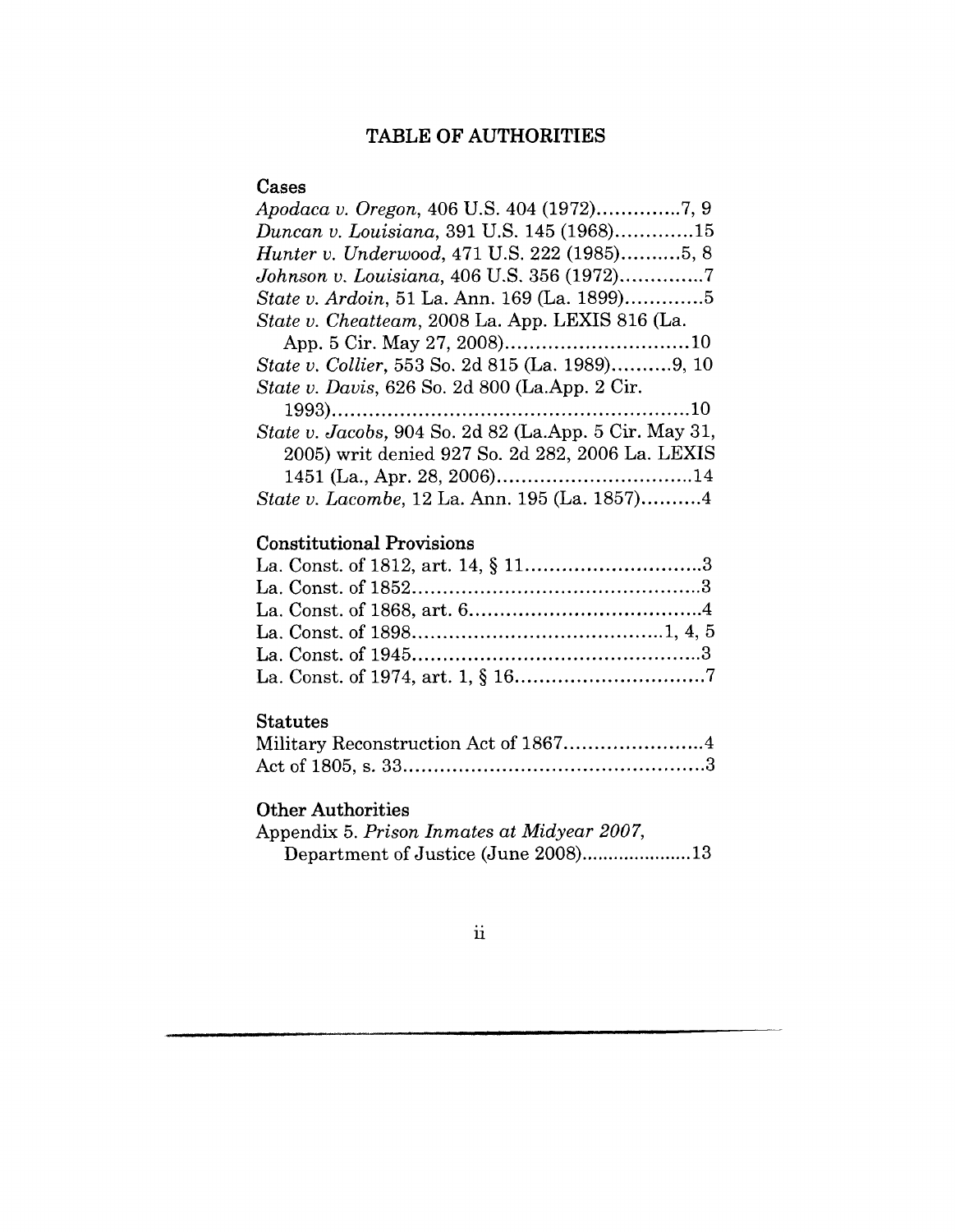## TABLE OF AUTHORITIES

### **Cases**

| Apodaca v. Oregon, 406 U.S. 404 (1972)7, 9             |
|--------------------------------------------------------|
| Duncan v. Louisiana, 391 U.S. 145 (1968)15             |
| <i>Hunter v. Underwood, 471 U.S. 222 (1985)5, 8</i>    |
| Johnson v. Louisiana, 406 U.S. 356 (1972)7             |
| State v. Ardoin, 51 La. Ann. 169 (La. 1899)5           |
| State v. Cheatteam, 2008 La. App. LEXIS 816 (La.       |
|                                                        |
| State v. Collier, 553 So. 2d 815 (La. 1989)9, 10       |
| State v. Davis, 626 So. 2d 800 (La.App. 2 Cir.         |
|                                                        |
| State v. Jacobs, 904 So. 2d 82 (La.App. 5 Cir. May 31, |
| 2005) writ denied 927 So. 2d 282, 2006 La. LEXIS       |
|                                                        |
| State v. Lacombe, 12 La. Ann. 195 (La. 1857)4          |

## **Constitutional Provisions**

### **Statutes**

## **Other Authorities**

Appendix 5. *Prison Inmates at Midyear 2007,* Department of Justice (June 2008).....................13

#### ii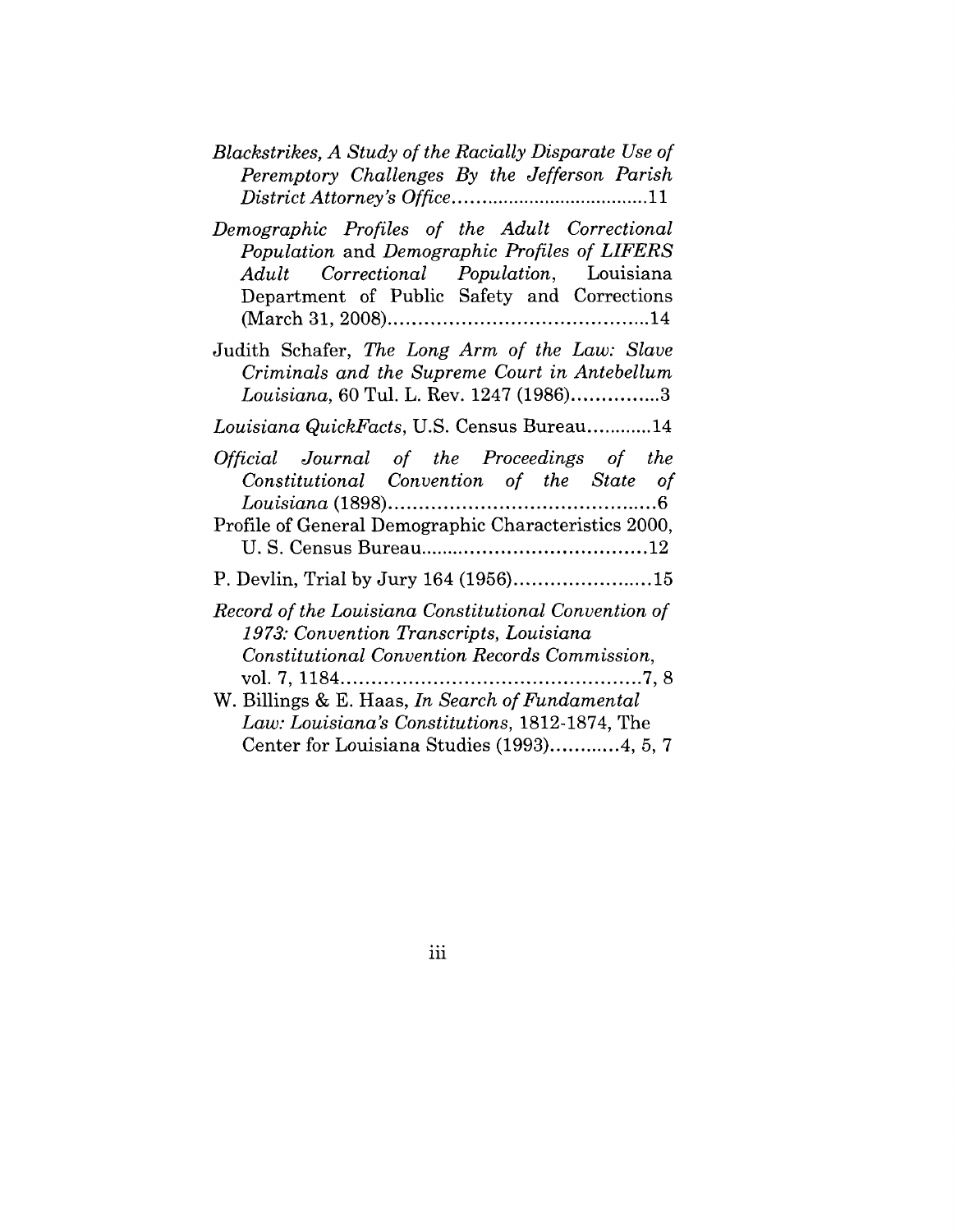| Blackstrikes, A Study of the Racially Disparate Use of |  |  |  |
|--------------------------------------------------------|--|--|--|
| Peremptory Challenges By the Jefferson Parish          |  |  |  |
|                                                        |  |  |  |

| Demographic Profiles of the Adult Correctional |  |  |                                               |  |
|------------------------------------------------|--|--|-----------------------------------------------|--|
|                                                |  |  | Population and Demographic Profiles of LIFERS |  |
|                                                |  |  | Adult Correctional Population, Louisiana      |  |
|                                                |  |  | Department of Public Safety and Corrections   |  |
|                                                |  |  |                                               |  |

Judith Schafer, *The Long Arm of the Law: Slave Criminals and the Supreme Court in Antebellum Louisiana,* 60 Tul. L. Rev. 1247 (1986) ...............3

### *Louisiana QuickFacts,* U.S. Census Bureau ............14

| Official Journal of the Proceedings of the<br>Constitutional Convention of the State of                                                          |
|--------------------------------------------------------------------------------------------------------------------------------------------------|
| Profile of General Demographic Characteristics 2000,                                                                                             |
|                                                                                                                                                  |
| Record of the Louisiana Constitutional Convention of<br>1973: Convention Transcripts, Louisiana<br>Constitutional Convention Records Commission, |
| W. Billings & E. Haas, In Search of Fundamental<br>Law: Louisiana's Constitutions, 1812-1874, The<br>Center for Louisiana Studies (1993)4, 5, 7  |

iii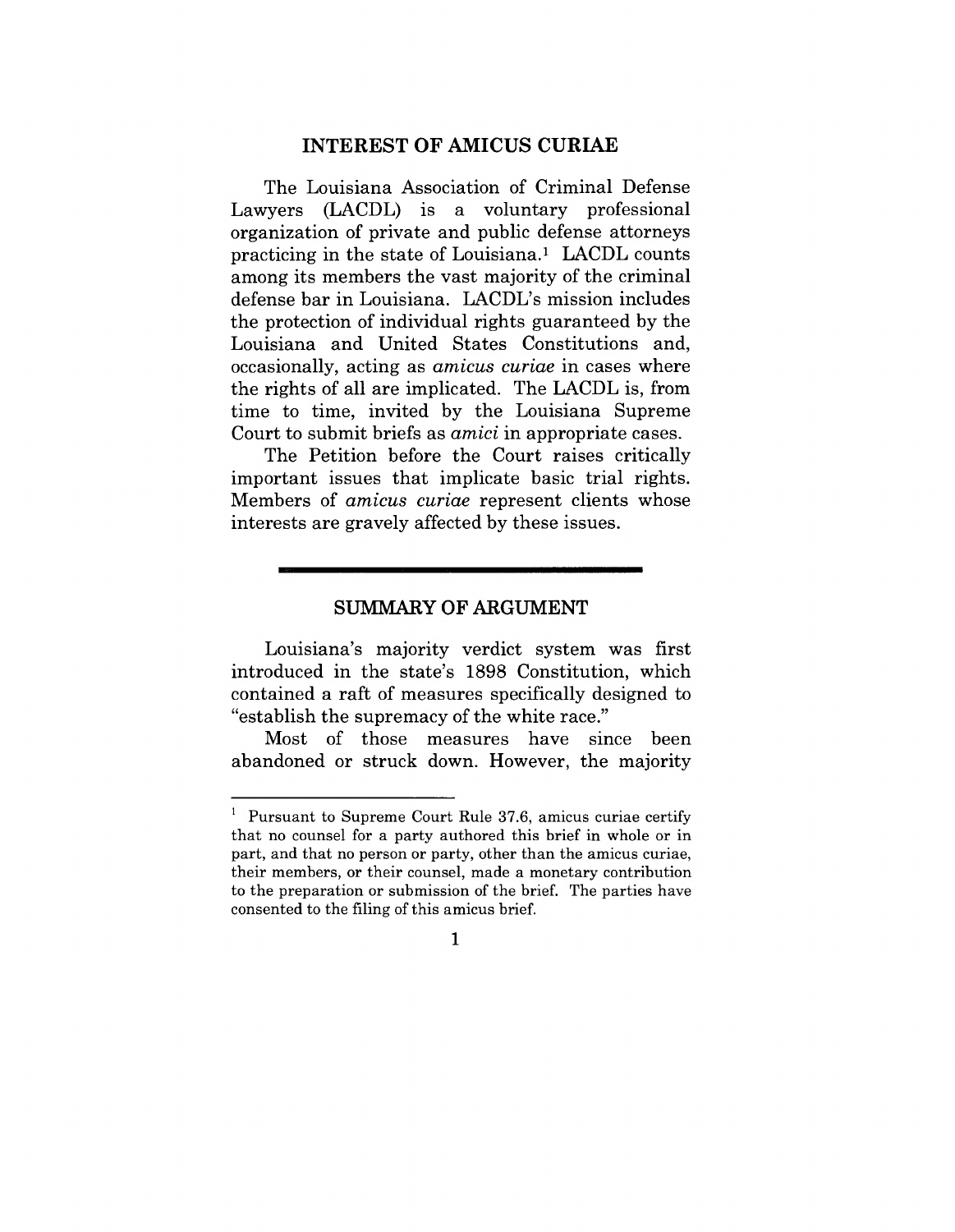#### **INTEREST OF AMICUS CURIAE**

The Louisiana Association of Criminal Defense Lawyers (LACDL) is a voluntary professional organization of private and public defense attorneys practicing in the state of Louisiana.<sup>1</sup> LACDL counts among its members the vast majority of the criminal defense bar in Louisiana. LACDL's mission includes the protection of individual rights guaranteed by the Louisiana and United States Constitutions and, occasionally, acting as *amicus curiae* in cases where the rights of all are implicated. The LACDL is, from time to time, invited by the Louisiana Supreme Court to submit briefs as *amici* in appropriate cases.

The Petition before the Court raises critically important issues that implicate basic trial rights. Members of *amicus curiae* represent clients whose interests are gravely affected by these issues.

#### **SUMMARY OF ARGUMENT**

Louisiana's majority verdict system was first introduced in the state's 1898 Constitution, which contained a raft of measures specifically designed to "establish the supremacy of the white race."

Most of those measures have since been abandoned or struck down. However, the majority

 $1$  Pursuant to Supreme Court Rule 37.6, amicus curiae certify that no counsel for a party authored this brief in whole or in part, and that no person or party, other than the amicus curiae, their members, or their counsel, made a monetary contribution to the preparation or submission of the brief. The parties have consented to the filing of this amicus brief.

 $\mathbf{1}$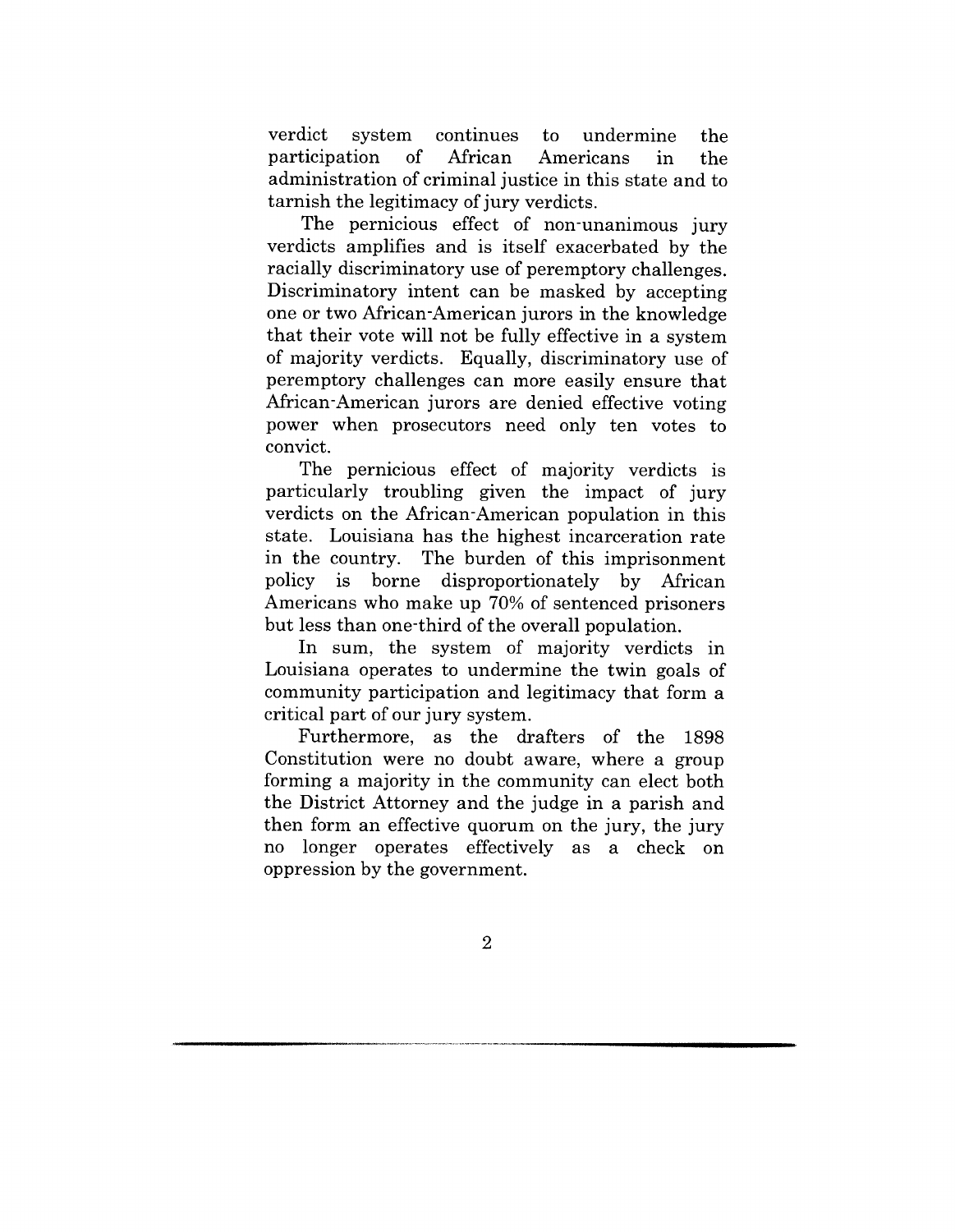verdict system continues to undermine the participation of African Americans in the administration of criminal justice in this state and to tarnish the legitimacy of jury verdicts.

The pernicious effect of non-unanimous jury verdicts amplifies and is itself exacerbated by the racially discriminatory use of peremptory challenges. Discriminatory intent can be masked by accepting one or two African-American jurors in the knowledge that their vote will not be fully effective in a system of majority verdicts. Equally, discriminatory use of peremptory challenges can more easily ensure that African-American jurors are denied effective voting power when prosecutors need only ten votes to convict.

The pernicious effect of majority verdicts is particularly troubling given the impact of jury verdicts on the African-American population in this state. Louisiana has the highest incarceration rate in the country. The burden of this imprisonment policy is borne disproportionately by African Americans who make up 70% of sentenced prisoners but less than one-third of the overall population.

In sum, the system of majority verdicts in Louisiana operates to undermine the twin goals of community participation and legitimacy that form a critical part of our jury system.

Furthermore, as the drafters of the 1898 Constitution were no doubt aware, where a group forming a majority in the community can elect both the District Attorney and the judge in a parish and then form an effective quorum on the jury, the jury no longer operates effectively as a check on oppression by the government.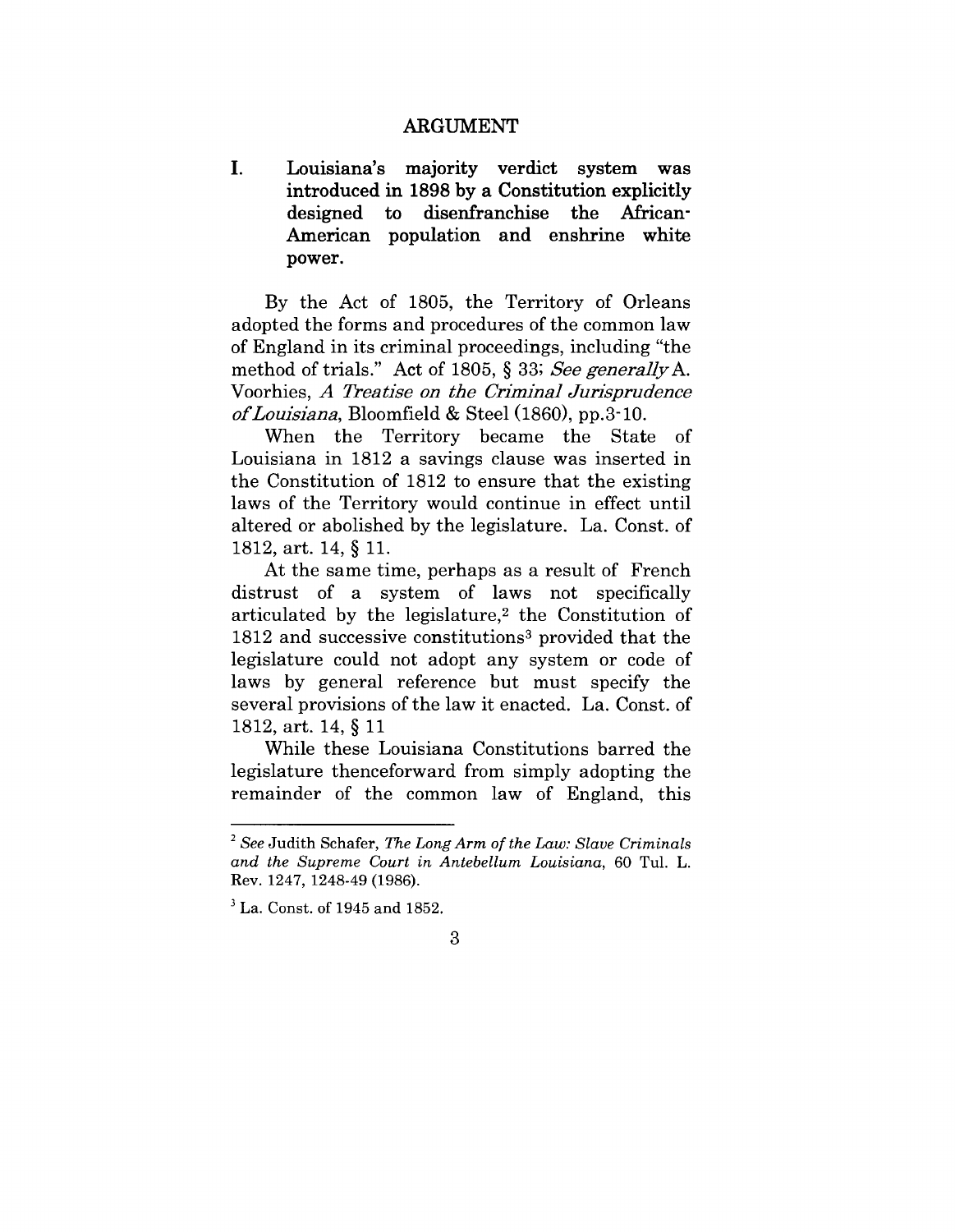#### ARGUMENT

 $\mathbf{I}$ . **Louisiana's** majority verdict system **was** introduced in 1898 by a Constitution explicitly designed to disenfranchise the African-American population and enshrine white power.

By the Act of 1805, the Territory of Orleans adopted the forms and procedures of the common law of England in its criminal proceedings, including "the method of trials." Act of 1805, § 33; *See generallyA.* Voorhies, *A Treatise on the Criminal Jurisprudence o£Louisiana,* Bloomfield & Steel (1860), pp.3-10.

When the Territory became the State of Louisiana in 1812 a savings clause was inserted in the Constitution of 1812 to ensure that the existing laws of the Territory would continue in effect until altered or abolished by the legislature. La. Const. of 1812, art. 14, § 11.

At the same time, perhaps as a result of French distrust of a system of laws not specifically articulated by the legislature,2 the Constitution of 1812 and successive constitutions3 provided that the legislature could not adopt any system or code of laws by general reference but must specify the several provisions of the law it enacted. La. Const. of 1812, art. 14, § 11

While these Louisiana Constitutions barred the legislature thenceforward from simply adopting the remainder of the common law of England, this

*<sup>2</sup> See* Judith Schafer, The *Long Arm of the Law: Slave Criminals and the Supreme Court in Antebellum Louisiana,* 60 Tul. L. Rev. 1247, 1248-49 (1986).

<sup>3</sup> La. Const. of 1945 and 1852.

<sup>3</sup>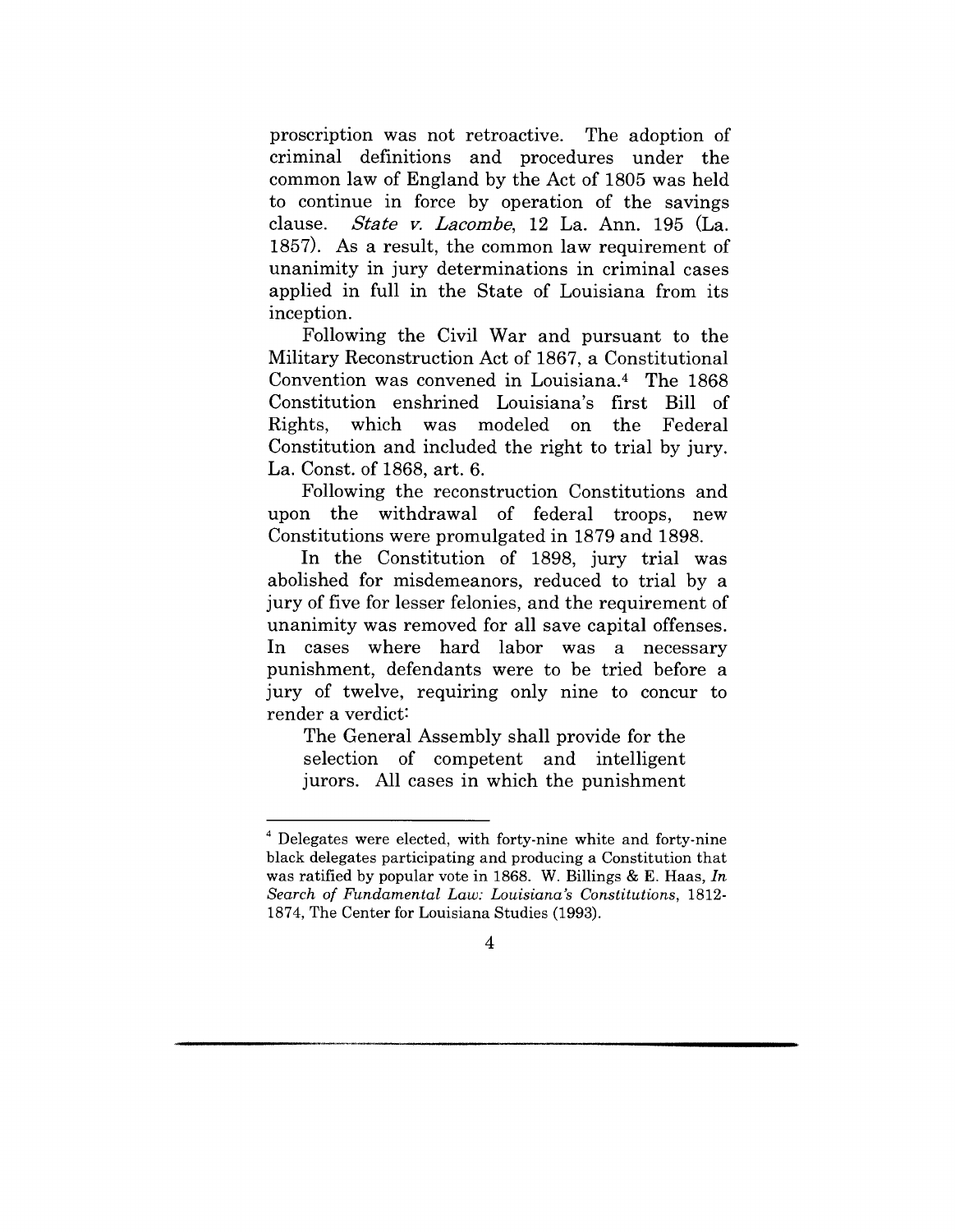proscription was not retroactive. The adoption of criminal definitions and procedures under the common law of England by the Act of 1805 was held to continue in force by operation of the savings clause. *State v. Lacombe,* 12 La. Ann. 195 (La. 1857). As a result, the common law requirement of unanimity in jury determinations in criminal eases applied in full in the State of Louisiana from its inception.

Following the Civil War and pursuant to the Military Reconstruction Act of 1867, a Constitutional Convention was convened in Louisiana.4 The 1868 Constitution enshrined Louisiana's first Bill of Rights, which was modeled on the Federal Constitution and included the right to trial by jury. La. Const. of 1868, art. 6.

Following the reconstruction Constitutions and upon the withdrawal of federal troops, new Constitutions were promulgated in 1879 and 1898.

In the Constitution of 1898, jury trial was abolished for misdemeanors, reduced to trial by a jury of five for lesser felonies, and the requirement of unanimity was removed for all save capital offenses. In eases where hard labor was a necessary punishment, defendants were to be tried before a jury of twelve, requiring only nine to concur to render a verdict:

The General Assembly shall provide for the selection of competent and intelligent jurors. All eases in which the punishment

<sup>4</sup> Delegates were elected, with forty-nine white and forty-nine black delegates participating and producing a Constitution that was ratified by popular vote in 1868. W. Billings & E. Haas, *In Search of Fundamental Law: Louisiana's Constitutions,* 1812- 1874, The Center for Louisiana Studies (1993).

<sup>4</sup>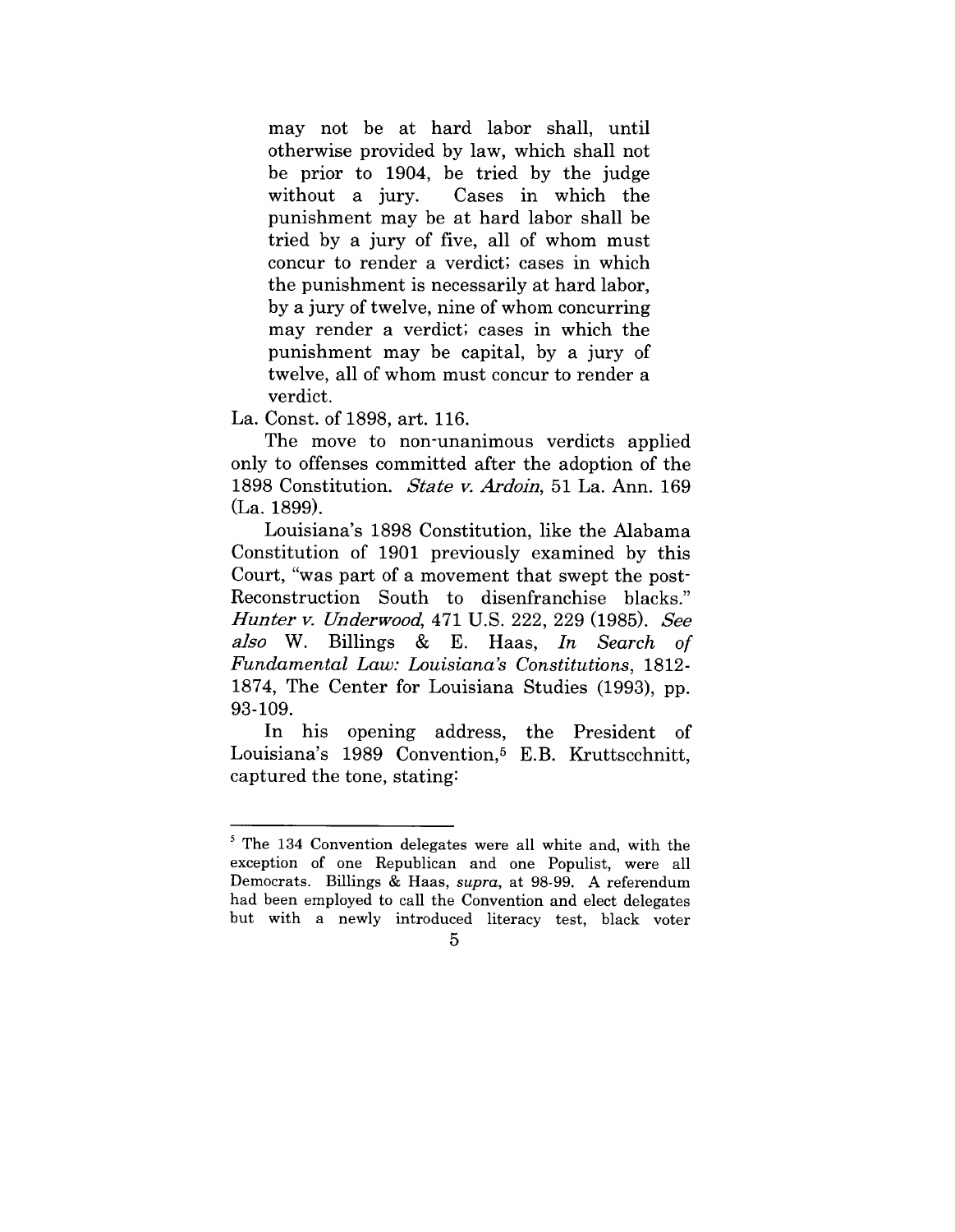may not be at hard labor shall, until otherwise provided by law, which shall not be prior to 1904, be tried by the judge without a jury. Cases in which the punishment may be at hard labor shall be tried by a jury of five, all of whom must concur to render a verdict; cases in which the punishment is necessarily at hard labor, by a jury of twelve, nine of whom concurring may render a verdict; cases in which the punishment may be capital, by a jury of twelve, all of whom must concur to render a verdict.

La. Const. of 1898, art. 116.

The move to non-unanimous verdicts applied only to offenses committed after the adoption of the 1898 Constitution. *State v. Ardoin,* 51 La. Ann. 169 (La. 1899).

Louisiana's 1898 Constitution, like the Alabama Constitution of 1901 previously examined by this Court, "was part of a movement that swept the post-Reconstruction South to disenfranchise blacks." *Hunter v. Underwood,* 471 U.S. 222, 229 (1985). See *also* W. Billings & E. Haas, *In Search of Fundamental Law: Louisiana's Constitutions,* 1812- 1874, The Center for Louisiana Studies (1993), pp. 93-109.

In his opening address, the President of Louisiana's 1989 Convention,<sup>5</sup> E.B. Kruttscchnitt, captured the tone, stating:

<sup>5</sup> The 134 Convention delegates were all white and, with the exception of one Republican and one Populist, were all Democrats. Billings & Haas, *supra,* at 98-99. A referendum had been employed to call the Convention and elect delegates but with a newly introduced literacy test, black voter

<sup>5</sup>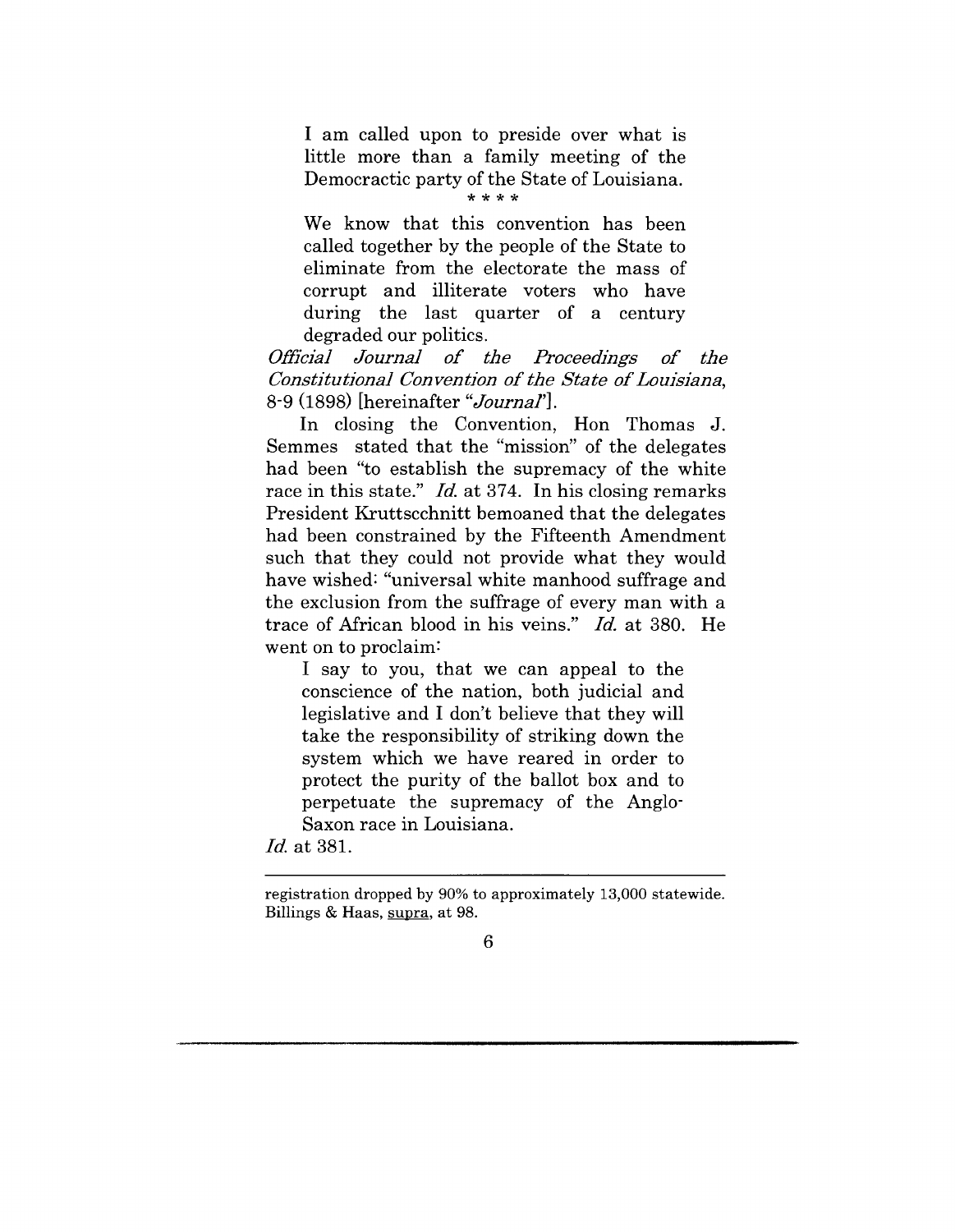I am called upon to preside over what is little more than a family meeting of the Democractic party of the State of Louisiana.

We know that this convention has been called together by the people of the State to eliminate from the electorate the mass of corrupt and illiterate voters who have during the last quarter of a century degraded our politics.

*Official Journal of the Proceedings of the Constitutional Convention of the State of Louisiana,* 8-9 (1898) [hereinafter *"Journal'].*

In closing the Convention, Hon Thomas J. Semmes stated that the "mission" of the delegates had been "to establish the supremacy of the white race in this state." *Id.* at 374. In his closing remarks President Kruttseehnitt bemoaned that the delegates had been constrained by the Fifteenth Amendment such that they could not provide what they would have wished: "universal white manhood suffrage and the exclusion from the suffrage of every man with a trace of African blood in his veins." *Id.* at 380. He went on to proclaim:

I say to you, that we can appeal to the conscience of the nation, both judicial and legislative and I don't believe that they will take the responsibility of striking down the system which we have reared in order to protect the purity of the ballot box and to perpetuate the supremacy of the Anglo-Saxon race in Louisiana.

*Id.* at 381.

registration dropped by 90% to approximately 13,000 statewide. Billings & Haas, supra, at 98.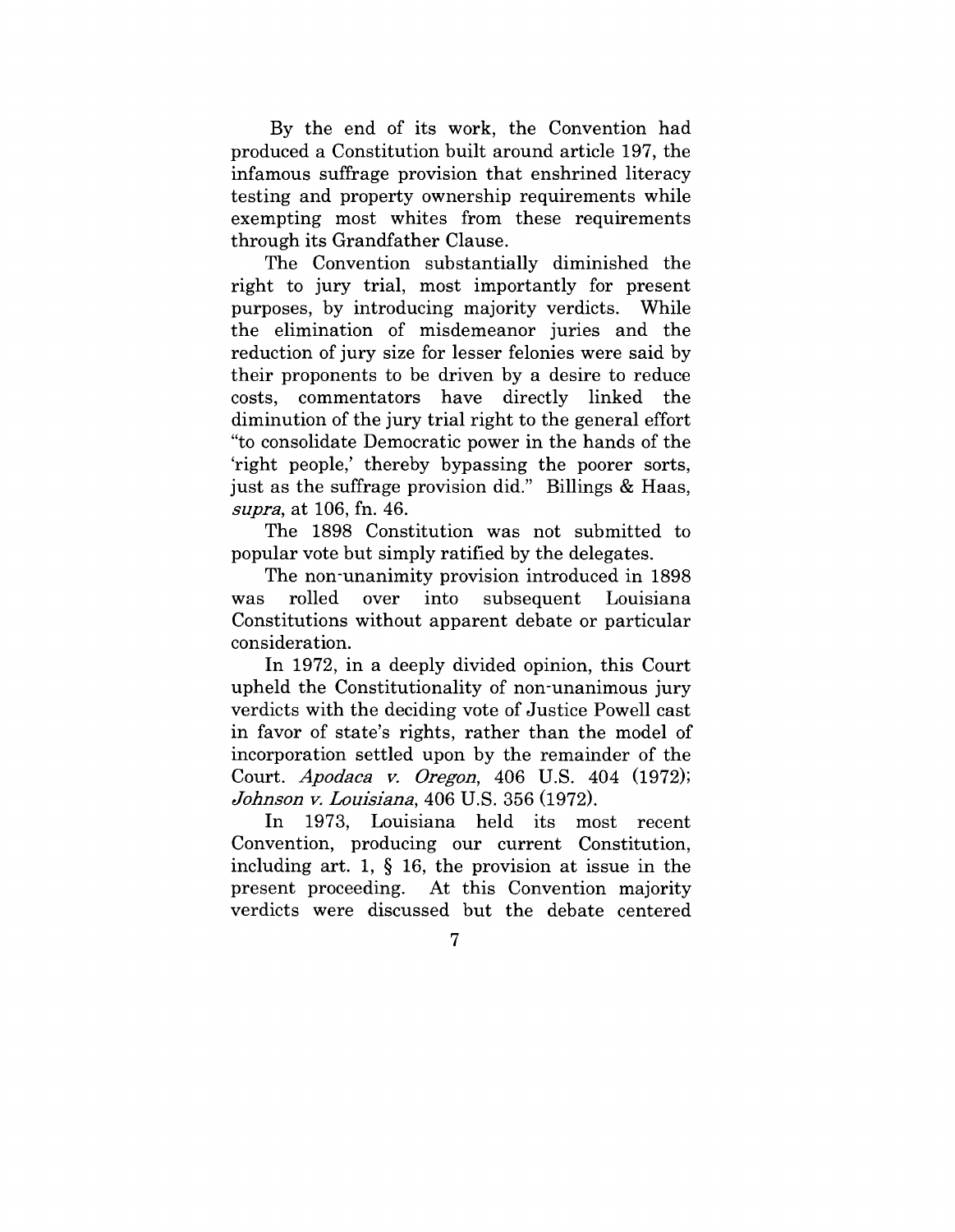By the end of its work, the Convention had produced a Constitution built around article 197, the infamous suffrage provision that enshrined literacy testing and property ownership requirements while exempting most whites from these requirements through its Grandfather Clause.

The Convention substantially diminished the right to jury trial, most importantly for present purposes, by introducing majority verdicts. While the elimination of misdemeanor juries and the reduction of jury size for lesser felonies were said by their proponents to be driven by a desire to reduce costs, commentators have directly linked the diminution of the jury trial right to the general effort "to consolidate Democratic power in the hands of the 'right people,' thereby bypassing the poorer sorts, just as the suffrage provision did." Billings & Haas, supra, at 106, fn. 46.

The 1898 Constitution was not submitted to popular vote but simply ratified by the delegates.

The non-unanimity provision introduced in 1898 was rolled over into subsequent Louisiana Constitutions without apparent debate or particular consideration.

In 1972, in a deeply divided opinion, this Court upheld the Constitutionality of non-unanimous jury verdicts with the deciding vote of Justice Powell cast in favor of state's rights, rather than the model of incorporation settled upon by the remainder of the Court. *Apodaca v. Oregon,* 406 U.S. 404 (1972); *Johnson y. Louisiana,* 406 U.S. 356 (1972).

In 1973, Louisiana held its most recent Convention, producing our current Constitution, including art. 1, § 16, the provision at issue in the present proceeding. At this Convention majority verdicts were discussed but the debate centered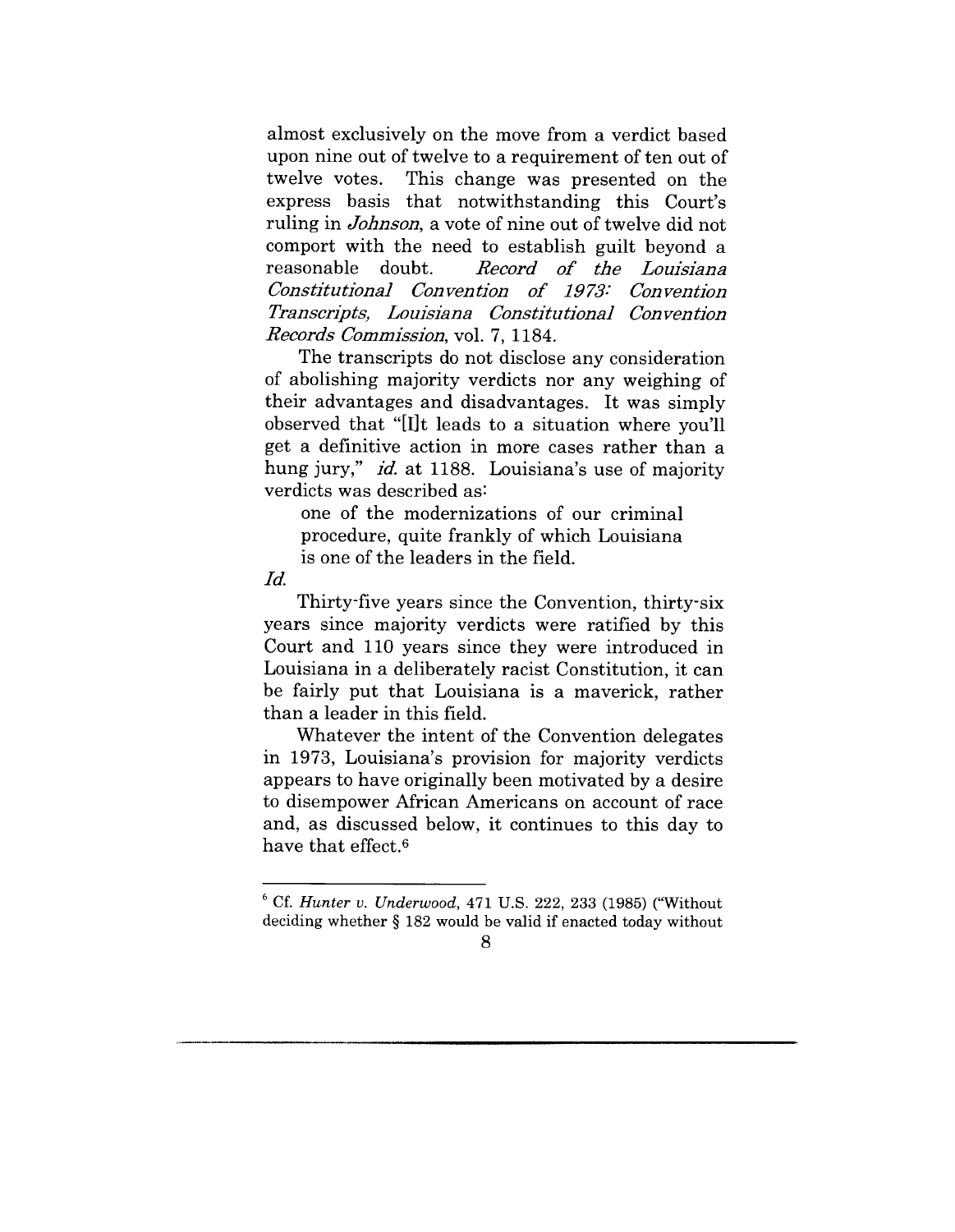almost exclusively on the move from a verdict based upon nine out of twelve to a requirement of ten out of twelve votes. This change was presented on the express basis that notwithstanding this Court's ruling in *Johnson,* a vote of nine out of twelve did not comport with the need to establish guilt beyond a reasonable doubt. *Record o£ the Louisiana Constitutional Convention o£ 1973: Convention Transcripts, Louisiana Constitutional Convention Records Commission,* vol. 7, 1184.

The transcripts do not disclose any consideration of abolishing majority verdicts nor any weighing of their advantages and disadvantages. It was simply observed that "[I]t leads to a situation where you'll get a definitive action in more eases rather than a hung jury," *id.* at 1188. Louisiana's use of majority verdicts was described as:

one of the modernizations of our criminal procedure, quite frankly of which Louisiana is one of the leaders in the field.

Id.

Thirty-five years since the Convention, thirty-six years since majority verdicts were ratified by this Court and 110 years since they were introduced in Louisiana in a deliberately racist Constitution, it can be fairly put that Louisiana is a maverick, rather than a leader in this field.

Whatever the intent of the Convention delegates in 1973, Louisiana's provision for majority verdicts appears to have originally been motivated by a desire to disempower African Americans on account of race and, as discussed below, it continues to this day to have that effect.6

<sup>6</sup> Cf. *Hunter v. Underwood,* 471 U.S. 222, 233 (1985) ("Without deciding whether § 182 would be valid if enacted today without

<sup>8</sup>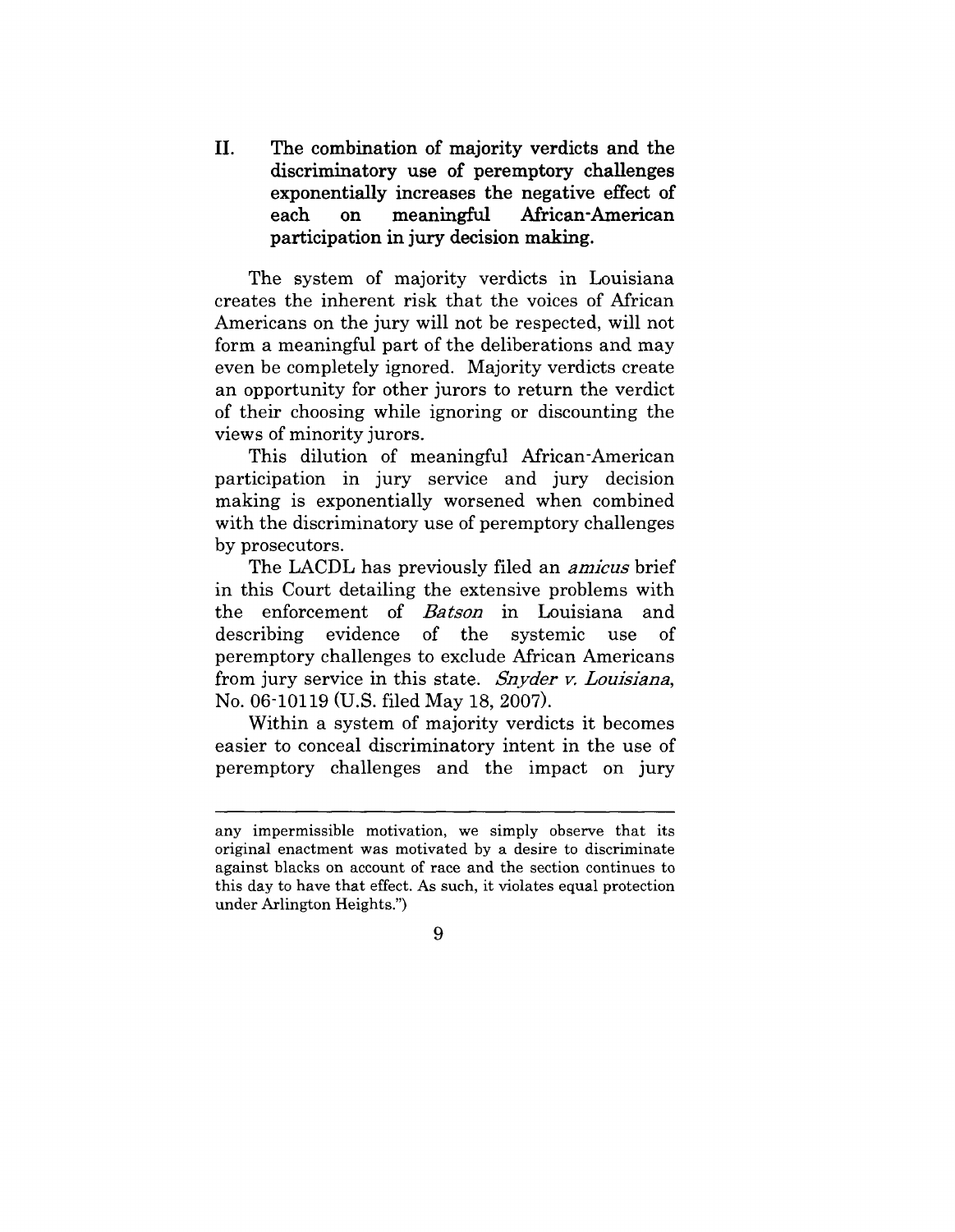II. The **combination of majority verdicts and the discriminatory use of peremptory challenges exponentially increases the negative effect of each on meaningful African-American** participation in jury decision making.

The system of majority verdicts in Louisiana creates the inherent risk that the voices of African Americans on the jury will not be respected, will not form a meaningful part of the deliberations and may even be completely ignored. Majority verdicts create an opportunity for other jurors to return the verdict of their choosing while ignoring or discounting the views of minority jurors.

This dilution of meaningful African-American participation in jury service and jury decision making is exponentially worsened when combined with the discriminatory use of peremptory challenges by prosecutors.

The LACDL has previously filed an *arnieus* brief in this Court detailing the extensive problems with the enforcement of *Batson* in Louisiana and<br>describing evidence of the systemic use of describing evidence of the systemic use of peremptory challenges to exclude African Americans from jury service in this state. *Snyder v. Louisiana,* No. 06-10119 (U.S. filed May 18, 2007).

Within a system of majority verdicts it becomes easier to conceal discriminatory intent in the use of peremptory challenges and the impact on jury

any impermissible motivation, we simply observe that its original enactment was motivated by a desire to discriminate against blacks on account of race and the section continues to this day to have that effect. As such, it violates equal protection under Arlington Heights.")

**<sup>9</sup>**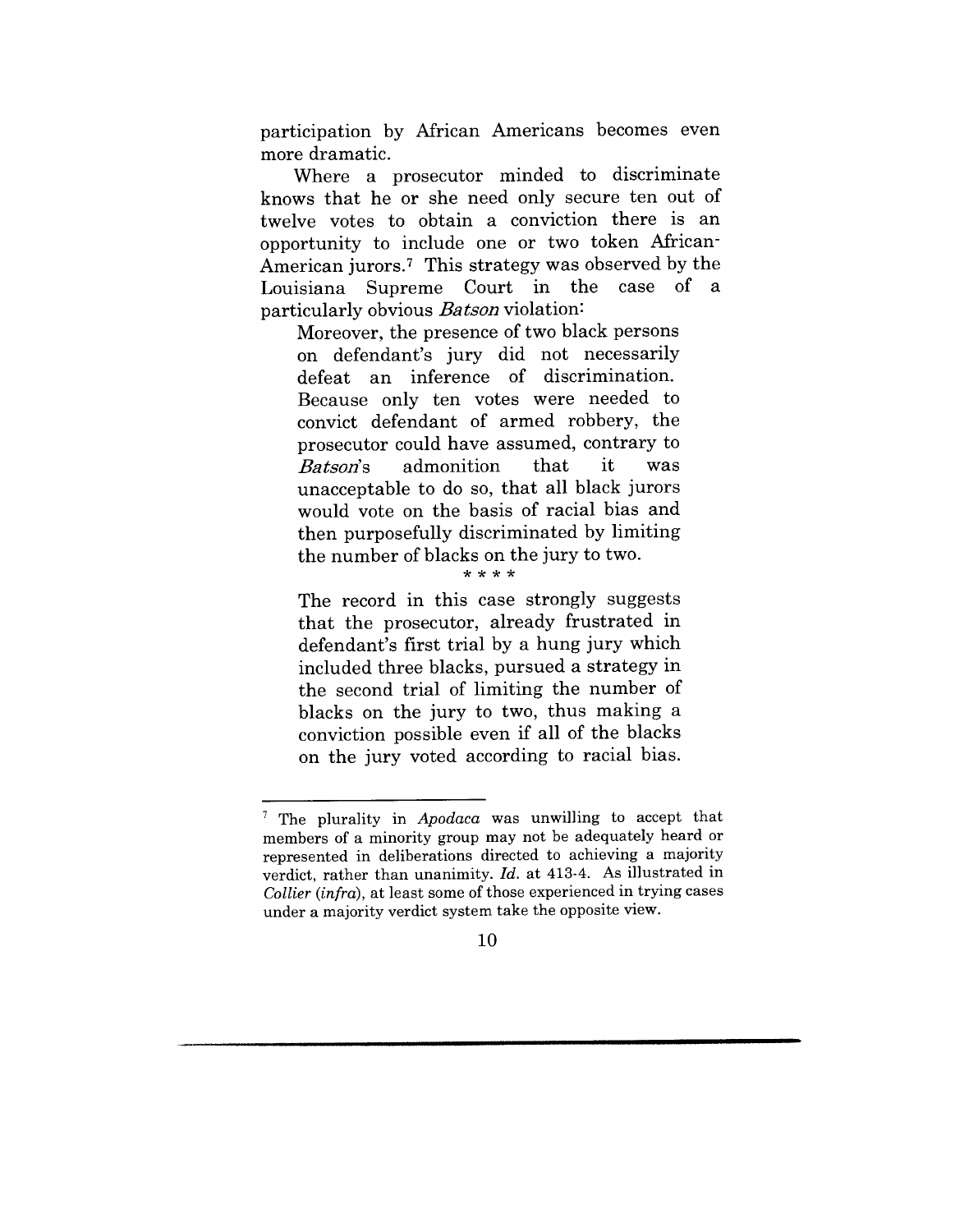participation by African Americans becomes even more dramatic.

Where a prosecutor minded to discriminate knows that he or she need only secure ten out of twelve votes to obtain a conviction there is an opportunity to include one or two token African-American jurors.7 This strategy was observed by the Louisiana Supreme Court in the case of a particularly obvious *Batson* violation:

Moreover, the presence of two black persons on defendant's jury did not necessarily defeat an inference of discrimination. Because only ten votes were needed to convict defendant of armed robbery, the prosecutor could have assumed, contrary to *Batson's* admonition that it was unacceptable to do so, that all black jurors would vote on the basis of racial bias and then purposefully discriminated by limiting the number of blacks on the jury to two.

The record in this case strongly suggests that the prosecutor, already frustrated in defendant's first trial by a hung jury which included three blacks, pursued a strategy in the second trial of limiting the number of blacks on the jury to two, thus making a conviction possible even if all of the blacks on the jury voted according to racial bias.

<sup>7</sup> The plurality in *Apodaca* was unwilling to accept that members of a minority group may not be adequately heard or represented in deliberations directed to achieving a majority verdict, rather than unanimity. *Id.* at 413-4. As illustrated in *Collier (infra),* at least some of those experienced in trying cases under a majority verdict system take the opposite view.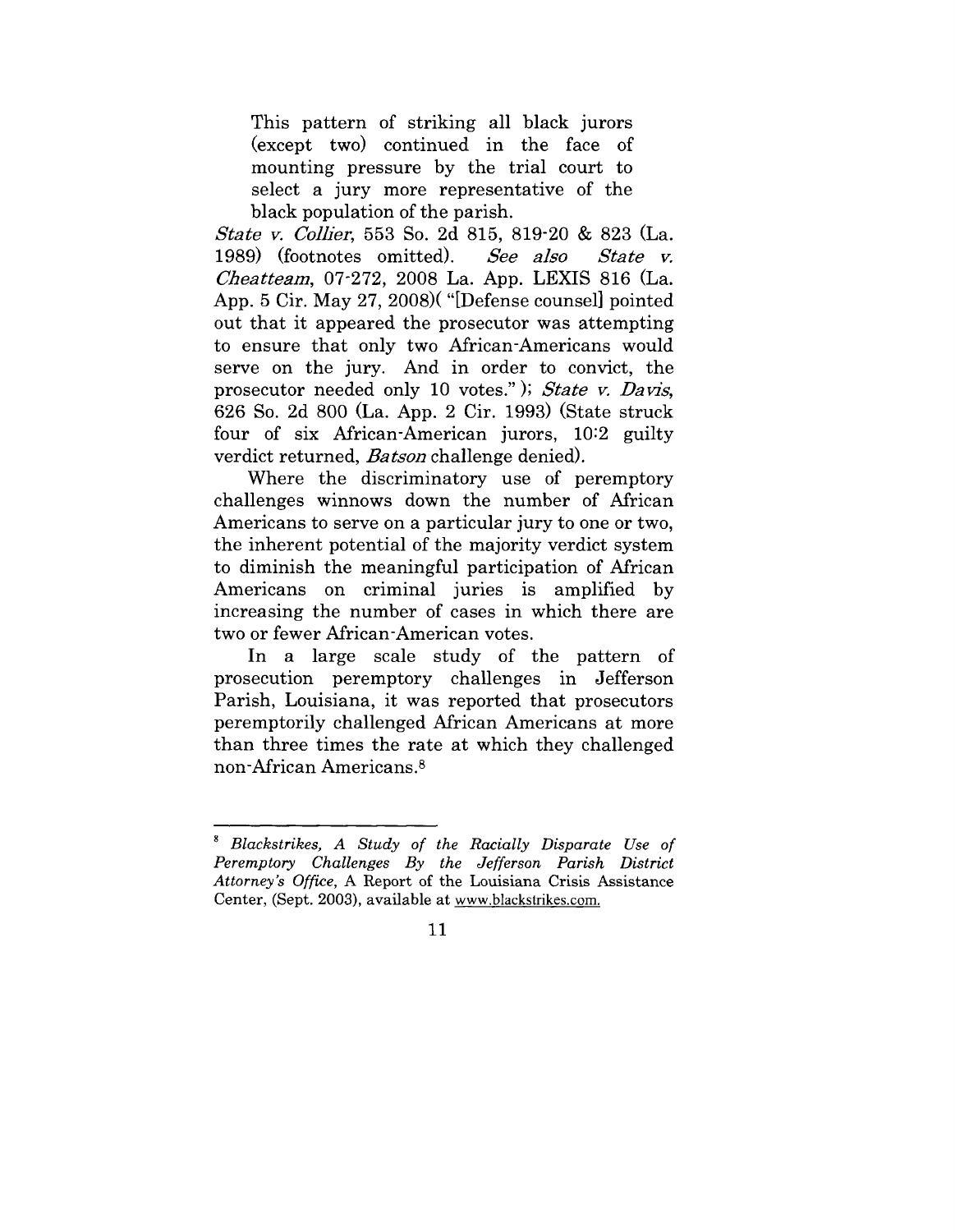This pattern of striking all black jurors (except two) continued in the face of mounting pressure by the trial court to select a jury more representative of the black population of the parish.

*State v. Collier,* 553 So. 2d 815, 819-20 & 823 (La. 1989) (footnotes omitted). *Cheatteam, 07-272, 2008 La. App. LEXIS 816 (La.* App. 5 Cir. May 27, 2008)( "[Defense counsel] pointed out that it appeared the prosecutor was attempting to ensure that only two African-Americans would serve on the jury. And in order to convict, the prosecutor needed only 10 votes." ); *State y.* 626 So. 2d 800 (La. App. 2 Cir. 1993) (State struck four of six African-American jurors, 10:2 guilty verdict returned, *Batson* challenge denied).

Where the discriminatory use of peremptory challenges winnows down the number of African Americans to serve on a particular jury to one or two, the inherent potential of the majority verdict system to diminish the meaningful participation of African Americans on criminal juries is amplified by increasing the number of cases in which there are two or fewer African-American votes.

In a large scale study of the pattern of prosecution peremptory challenges in Jefferson Parish, Louisiana, it was reported that prosecutors peremptorily challenged African Americans at more than three times the rate at which they challenged non-African Americans.<sup>8</sup>

*<sup>8</sup> Blackstrikes, A Study of the Racially Disparate Use of Peremptory Challenges By the Jefferson Parish District Attorney's Office,* A Report of the Louisiana Crisis Assistance Center, (Sept. 2003), available at www.blackstrikes.com.

<sup>11</sup>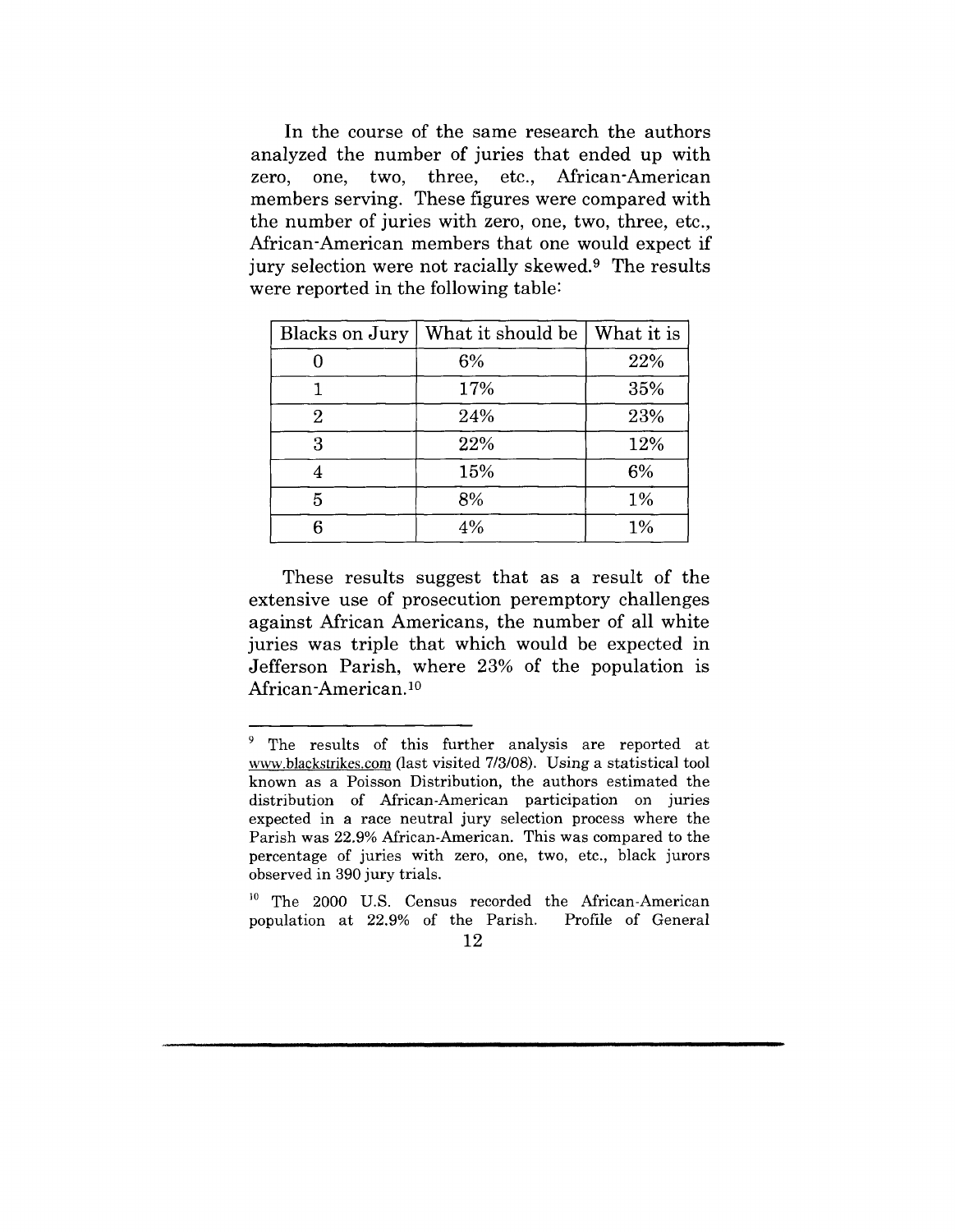In the course of the same research the authors analyzed the number of juries that ended up with zero, one, two, three, etc., African-American members serving. These figures were compared with the number of juries with zero, one, two, three, etc., African-American members that one would expect if jury selection were not racially skewed.9 The results were reported in the following table:

| Blacks on Jury | What it should be | What it is |
|----------------|-------------------|------------|
|                | 6%                | 22%        |
|                | 17%               | 35%        |
| 2              | 24%               | 23%        |
| 3              | 22%               | 12%        |
|                | 15%               | 6%         |
| 5              | 8%                | $1\%$      |
| հ              | 4%                | 1%         |

These results suggest that as a result of the extensive use of prosecution peremptory challenges against African Americans, the number of all white juries was triple that which would be expected in Jefferson Parish, where 23% of the population is African-American.<sup>10</sup>

<sup>9</sup> The results of this further analysis are reported at www.blackstrikcs.com (last visited 7/3/08). Using a statistical tool known as a Poisson Distribution, the authors estimated the distribution of African-American participation on juries expected in a race neutral jury selection process where the Parish was 22.9% African-American. This was compared to the percentage of juries with zero, one, two, etc., black jurors observed in 390 jury trials.

<sup>10</sup> The 2000 U.S. Census recorded the African-American population at 22.9% of the Parish. Profile of General

<sup>12</sup>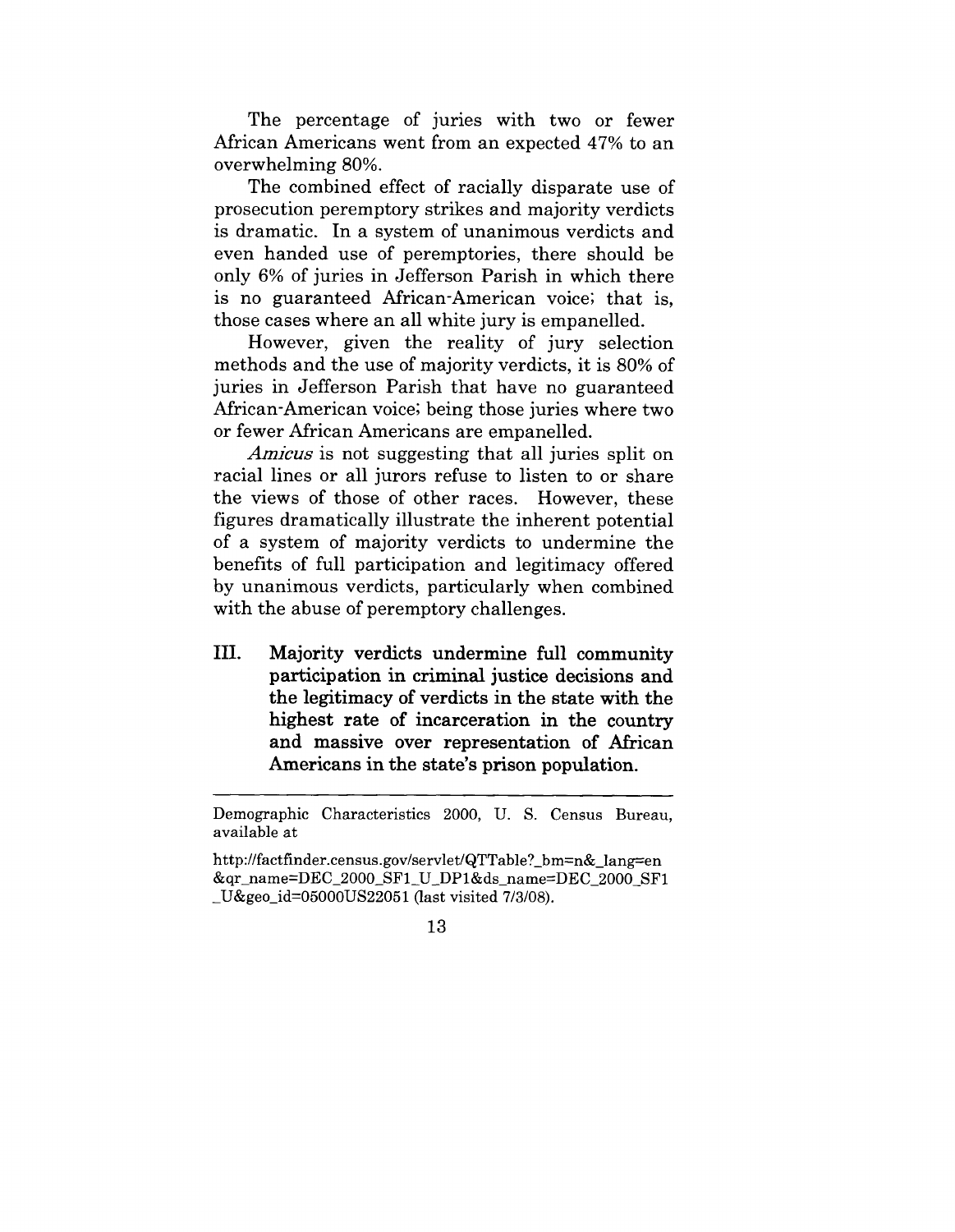The percentage of juries with two or fewer African Americans went from an expected 47% to an overwhelming 80%.

The combined effect of racially disparate use of prosecution peremptory strikes and majority verdicts is dramatic. In a system of unanimous verdicts and even handed use of peremptories, there should be only 6% of juries in Jefferson Parish in which there is no guaranteed African-American voice; that is, those cases where an all white jury is empanelled.

However, given the reality of jury selection methods and the use of majority verdicts, it is 80% of juries in Jefferson Parish that have no guaranteed African-American voice; being those juries where two or fewer African Americans are empanelled.

*Amicus* is not suggesting that all juries split on racial lines or all jurors refuse to listen to or share the views of those of other races. However, these figures dramatically illustrate the inherent potential of a system of majority verdicts to undermine the benefits of full participation and legitimacy offered by unanimous verdicts, particularly when combined with the abuse of peremptory challenges.

III. Majority verdicts undermine full community participation in criminal justice decisions and the legitimacy of verdicts in the state with the highest rate of incarceration in the country and massive over representation of African Americans in the state's prison population.

Demographic Characteristics 2000, U. S. Census Bureau, available at

*http://factfinder.census.gov/servlet/QTTable?\_bm=n&\_lang=en* &qr\_name=DEC\_2000\_SF1 U DPI&ds\_name=DEC\_2000\_SF1 \_U&geo\_id=05000US22051 (last visited 7/3/08).

<sup>13</sup>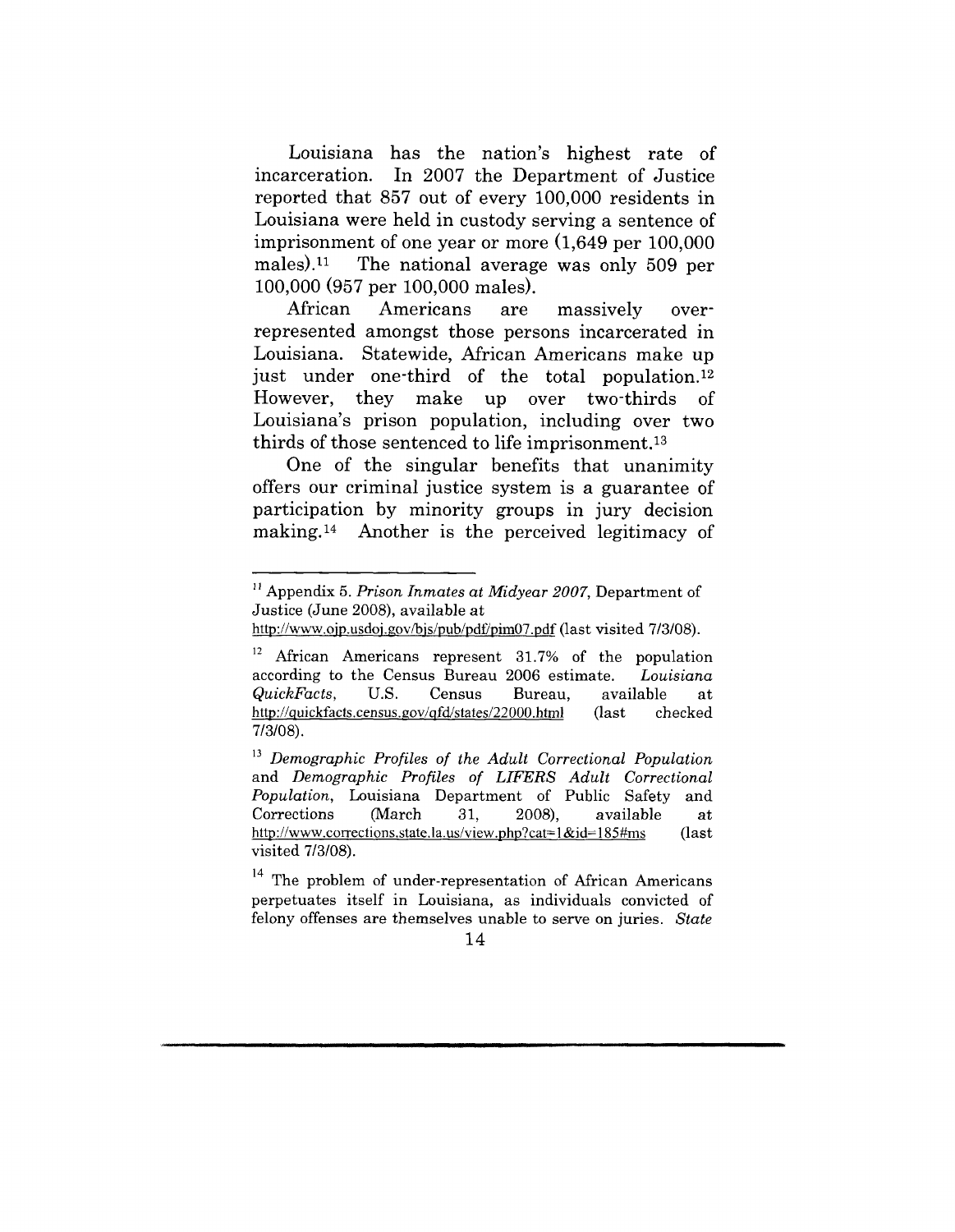Louisiana has the nation's highest rate of incarceration. In 2007 the Department of Justice reported that 857 out of every 100,000 residents in Louisiana were held in custody serving a sentence of imprisonment of one year or more (1,649 per 100,000 males).<sup>11</sup> The national average was only 509 per 100,000 (957 per 100,000 males).

African Americans are massively overrepresented amongst those persons incarcerated in Louisiana. Statewide, African Americans make up just under one-third of the total population.<sup>12</sup> However, they make up over two-thirds Ωf Louisiana's prison population, including over two thirds of those sentenced to life imprisonment.13

One of the singular benefits that unanimity offers our criminal justice system is a guarantee of participation by minority groups in jury decision making.14 Another is the perceived legitimacy of

<sup>14</sup> The problem of under-representation of African Americans perpetuates itself in Louisiana, as individuals convicted of felony offenses are themselves unable to serve on juries. *State*

<sup>&</sup>lt;sup>11</sup> Appendix 5. *Prison Inmates at Midyear 2007*, Department of Justice (June 2008), available at

http://www.ojp.usdoj.gov/bjs/pub/pdf/pim07.pdf (last visited 7/3/08).

<sup>&</sup>lt;sup>12</sup> African Americans represent 31.7% of the population according to the Census Bureau 2006 estimate. *Louisiana QuickFacts*, U.S. Census Bureau, available at http://quickfacts.census.gov/qfd/states/22000.html (last checked *http://quickfacts.census.gov/qfd/states/22000.html* 7/3/08).

*<sup>13</sup> Demographic Profiles of the Adult Correctional Population* and *Demographic Profiles of LIFERS Adult Correctional Population,* Louisiana Department of Public Safety and Corrections (March 31, 2008), available at http://www.corrections.state.la.us/view.php?cat=1&id=185#ms (last http://www.corrections.state.la.us/view.php?cat= $1 & 1 & 1 & 1 & 1 \text{ times}$ visited 7/3/08).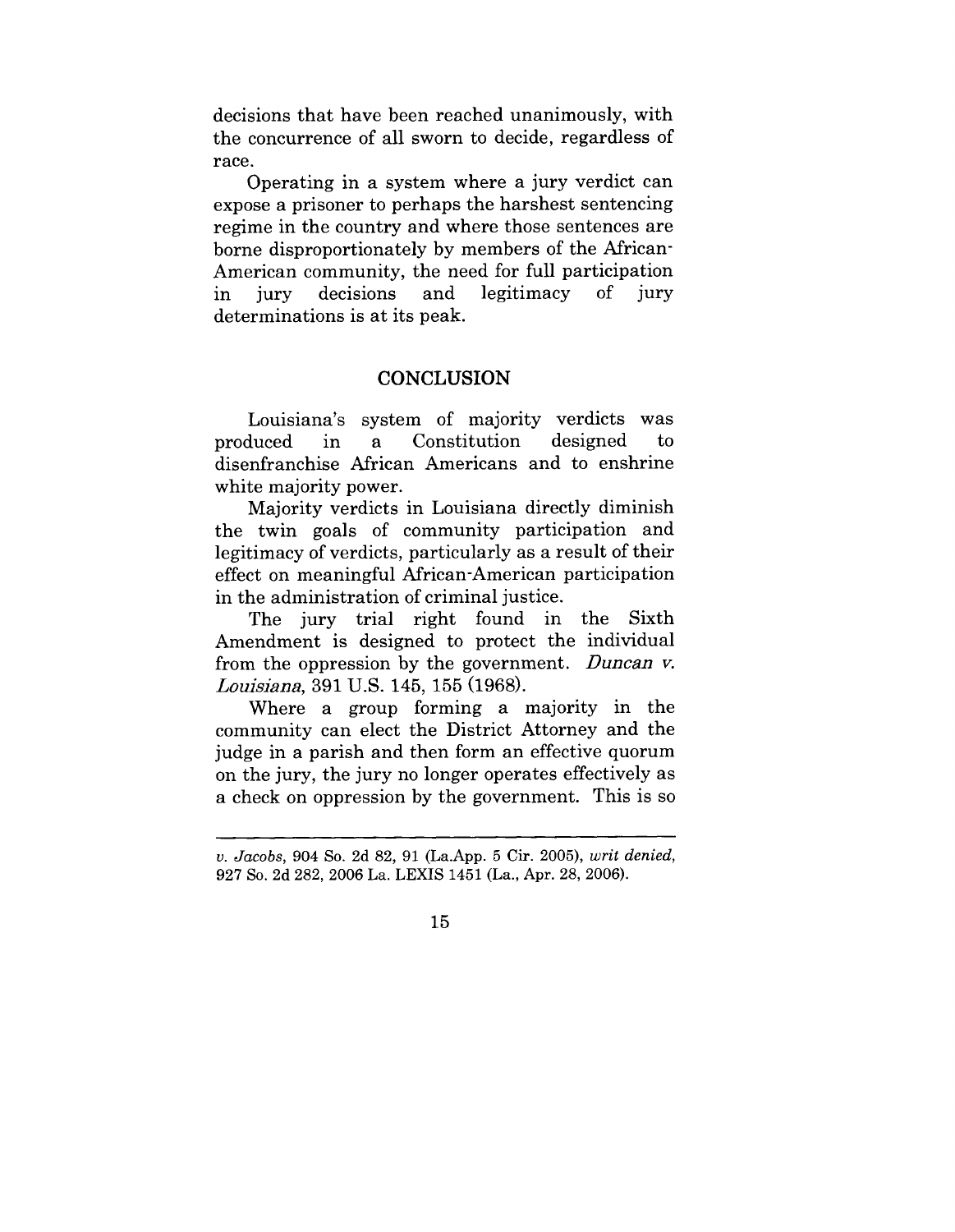decisions that have been reached unanimously, with the concurrence of all sworn to decide, regardless of race.

Operating in a system where a jury verdict can expose a prisoner to perhaps the harshest sentencing regime in the country and where those sentences are borne disproportionately by members of the African-American community, the need for full participation in jury decisions and legitimacy  $\alpha$ jury determinations is at its peak.

### **CONCLUSION**

Louisiana's system of majority verdicts was produced in a Constitution designed  $\mathsf{to}$ disenfranchise African Americans and to enshrine white majority power.

Majority verdicts in Louisiana directly diminish the twin goals of community participation and legitimacy of verdicts, particularly as a result of their effect on meaningful African-American participation in the administration of criminal justice.

The jury trial right found in the Sixth Amendment is designed to protect the individual from the oppression by the government. Duncan  $v$ . *Louisiana*, 391 U.S. 145, 155 (1968).

Where a group forming a majority in the community can elect the District Attorney and the judge in a parish and then form an effective quorum on the jury, the jury no longer operates effectively as a check on oppression by the government. This is so

*v. Jacobs,* 904 So. 2d 82, 91 (La.App. 5 Cir. 2005), *writ denied,* 927 So. 2d 282, 2006 La. LEXIS 1451 (La., Apr. 28, 2006).

<sup>15</sup>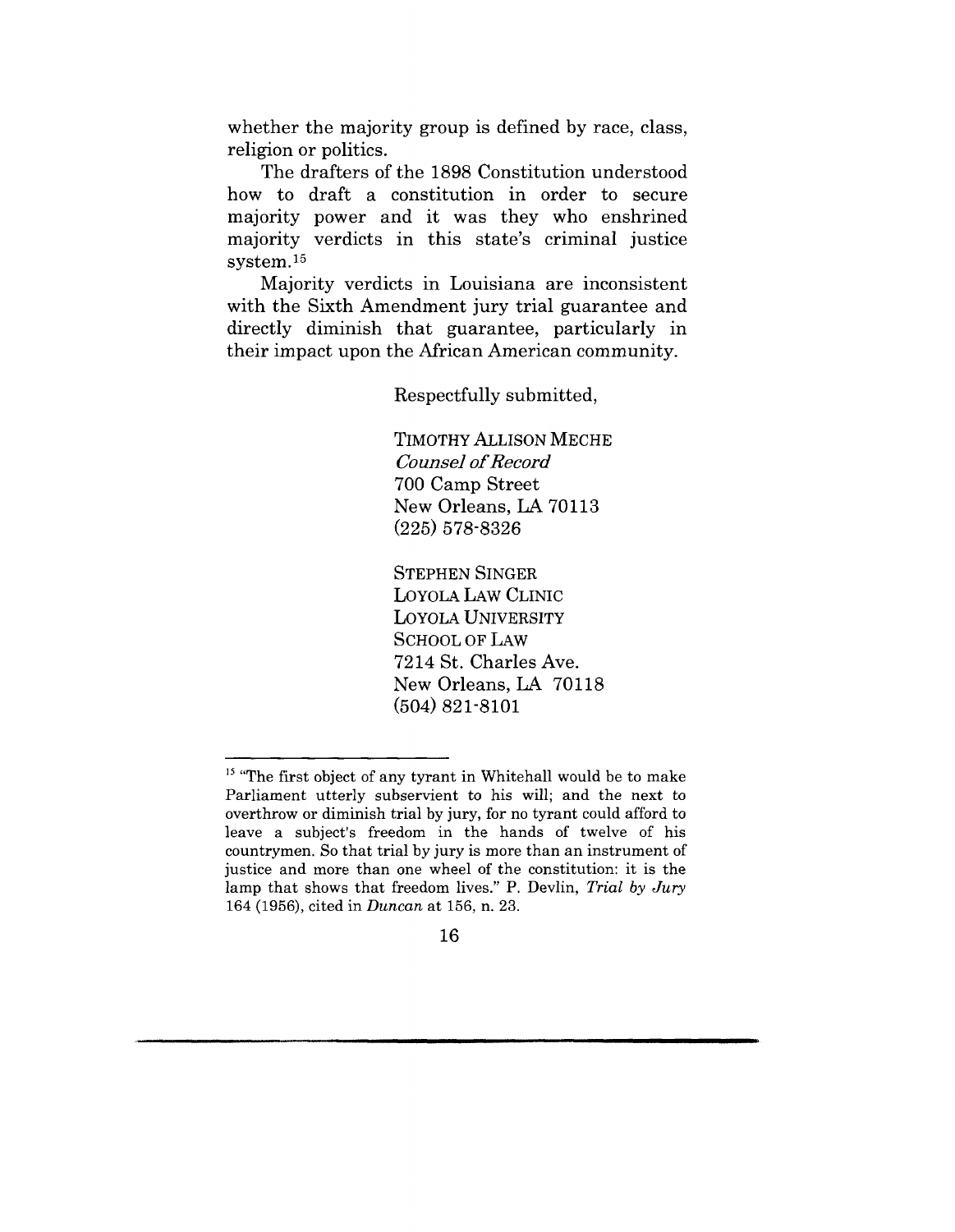whether the majority group is defined by race, class, religion or politics.

The drafters of the 1898 Constitution understood how to draft a constitution in order to secure majority power and it was they who enshrined majority verdicts in this state's criminal justice system.15

Majority verdicts in Louisiana are inconsistent with the Sixth Amendment jury trial guarantee and directly diminish that guarantee, particularly in their impact upon the African American community.

Respectfully submitted,

TIMOTHY ALLISON MECHE *Counsel of Record* 700 Camp Street New Orleans, LA 70113 (225) 578-8326

STEPHEN SINGER LOYOLA LAW CLINIC LOYOLA UNIVERSITY SCHOOL OF LAW 7214 St. Charles Ave. New Orleans, LA 70118 (504) 821-8101

 $15$  "The first object of any tyrant in Whitehall would be to make Parliament utterly subservient to his will; and the next to overthrow or diminish trial by jury, for no tyrant could afford to leave a subject's freedom in the hands of twelve of his countrymen. So that trial by jury is more than an instrument of justice and more than one wheel of the constitution: it is the lamp that shows that freedom lives." P. Devlin, *Trial by Jury* 164 (1956), cited in *Duncan* at 156, n. 23.

<sup>16</sup>